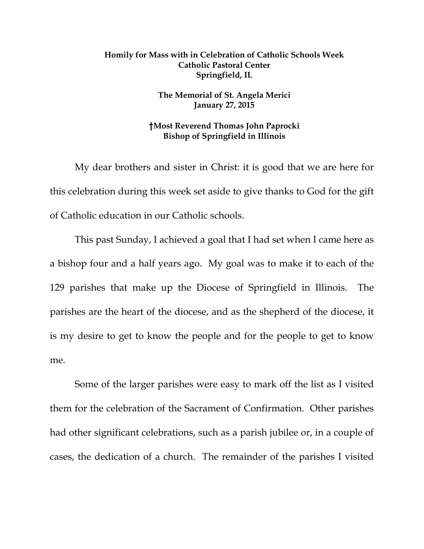## **Homily for Mass with in Celebration of Catholic Schools Week Catholic Pastoral Center Springfield, IL**

## **The Memorial of St. Angela Merici January 27, 2015**

## **†Most Reverend Thomas John Paprocki Bishop of Springfield in Illinois**

My dear brothers and sister in Christ: it is good that we are here for this celebration during this week set aside to give thanks to God for the gift of Catholic education in our Catholic schools.

This past Sunday, I achieved a goal that I had set when I came here as a bishop four and a half years ago. My goal was to make it to each of the 129 parishes that make up the Diocese of Springfield in Illinois. The parishes are the heart of the diocese, and as the shepherd of the diocese, it is my desire to get to know the people and for the people to get to know me.

Some of the larger parishes were easy to mark off the list as I visited them for the celebration of the Sacrament of Confirmation. Other parishes had other significant celebrations, such as a parish jubilee or, in a couple of cases, the dedication of a church. The remainder of the parishes I visited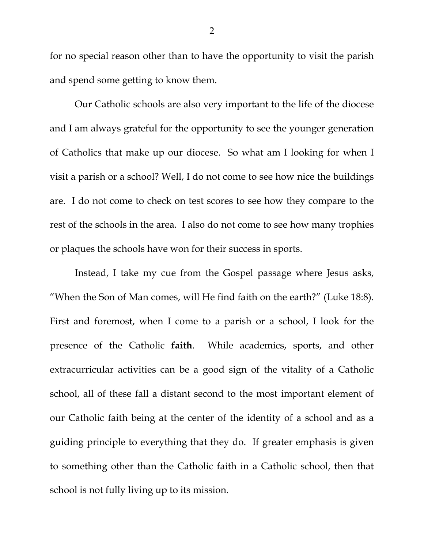for no special reason other than to have the opportunity to visit the parish and spend some getting to know them.

Our Catholic schools are also very important to the life of the diocese and I am always grateful for the opportunity to see the younger generation of Catholics that make up our diocese. So what am I looking for when I visit a parish or a school? Well, I do not come to see how nice the buildings are. I do not come to check on test scores to see how they compare to the rest of the schools in the area. I also do not come to see how many trophies or plaques the schools have won for their success in sports.

Instead, I take my cue from the Gospel passage where Jesus asks, "When the Son of Man comes, will He find faith on the earth?" (Luke 18:8). First and foremost, when I come to a parish or a school, I look for the presence of the Catholic **faith**. While academics, sports, and other extracurricular activities can be a good sign of the vitality of a Catholic school, all of these fall a distant second to the most important element of our Catholic faith being at the center of the identity of a school and as a guiding principle to everything that they do. If greater emphasis is given to something other than the Catholic faith in a Catholic school, then that school is not fully living up to its mission.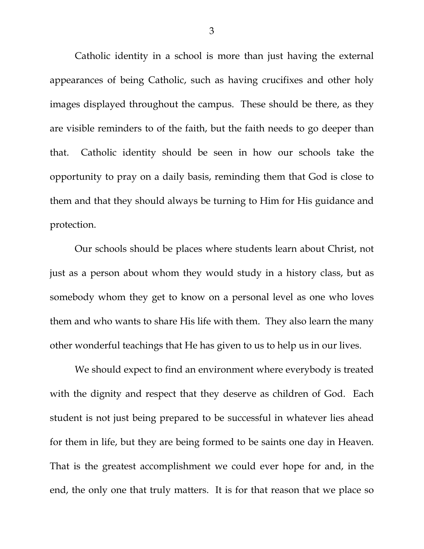Catholic identity in a school is more than just having the external appearances of being Catholic, such as having crucifixes and other holy images displayed throughout the campus. These should be there, as they are visible reminders to of the faith, but the faith needs to go deeper than that. Catholic identity should be seen in how our schools take the opportunity to pray on a daily basis, reminding them that God is close to them and that they should always be turning to Him for His guidance and protection.

Our schools should be places where students learn about Christ, not just as a person about whom they would study in a history class, but as somebody whom they get to know on a personal level as one who loves them and who wants to share His life with them. They also learn the many other wonderful teachings that He has given to us to help us in our lives.

We should expect to find an environment where everybody is treated with the dignity and respect that they deserve as children of God. Each student is not just being prepared to be successful in whatever lies ahead for them in life, but they are being formed to be saints one day in Heaven. That is the greatest accomplishment we could ever hope for and, in the end, the only one that truly matters. It is for that reason that we place so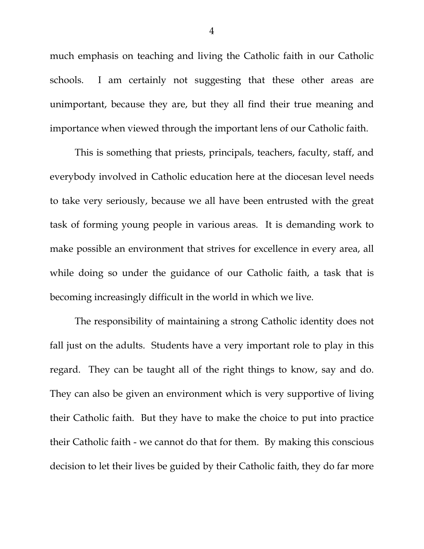much emphasis on teaching and living the Catholic faith in our Catholic schools. I am certainly not suggesting that these other areas are unimportant, because they are, but they all find their true meaning and importance when viewed through the important lens of our Catholic faith.

This is something that priests, principals, teachers, faculty, staff, and everybody involved in Catholic education here at the diocesan level needs to take very seriously, because we all have been entrusted with the great task of forming young people in various areas. It is demanding work to make possible an environment that strives for excellence in every area, all while doing so under the guidance of our Catholic faith, a task that is becoming increasingly difficult in the world in which we live.

The responsibility of maintaining a strong Catholic identity does not fall just on the adults. Students have a very important role to play in this regard. They can be taught all of the right things to know, say and do. They can also be given an environment which is very supportive of living their Catholic faith. But they have to make the choice to put into practice their Catholic faith - we cannot do that for them. By making this conscious decision to let their lives be guided by their Catholic faith, they do far more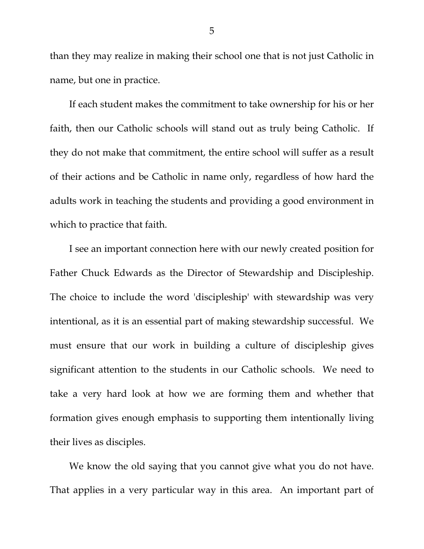than they may realize in making their school one that is not just Catholic in name, but one in practice.

If each student makes the commitment to take ownership for his or her faith, then our Catholic schools will stand out as truly being Catholic. If they do not make that commitment, the entire school will suffer as a result of their actions and be Catholic in name only, regardless of how hard the adults work in teaching the students and providing a good environment in which to practice that faith.

I see an important connection here with our newly created position for Father Chuck Edwards as the Director of Stewardship and Discipleship. The choice to include the word 'discipleship' with stewardship was very intentional, as it is an essential part of making stewardship successful. We must ensure that our work in building a culture of discipleship gives significant attention to the students in our Catholic schools. We need to take a very hard look at how we are forming them and whether that formation gives enough emphasis to supporting them intentionally living their lives as disciples.

We know the old saying that you cannot give what you do not have. That applies in a very particular way in this area. An important part of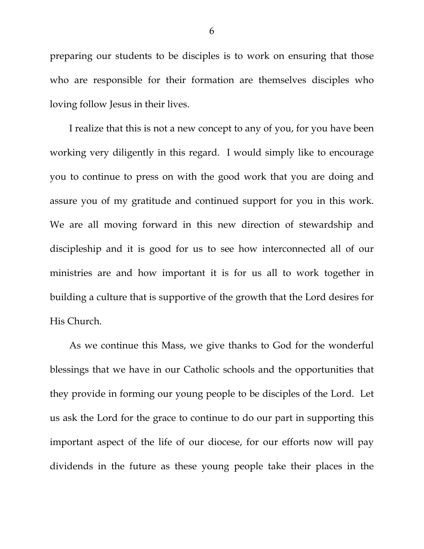preparing our students to be disciples is to work on ensuring that those who are responsible for their formation are themselves disciples who loving follow Jesus in their lives.

I realize that this is not a new concept to any of you, for you have been working very diligently in this regard. I would simply like to encourage you to continue to press on with the good work that you are doing and assure you of my gratitude and continued support for you in this work. We are all moving forward in this new direction of stewardship and discipleship and it is good for us to see how interconnected all of our ministries are and how important it is for us all to work together in building a culture that is supportive of the growth that the Lord desires for His Church.

As we continue this Mass, we give thanks to God for the wonderful blessings that we have in our Catholic schools and the opportunities that they provide in forming our young people to be disciples of the Lord. Let us ask the Lord for the grace to continue to do our part in supporting this important aspect of the life of our diocese, for our efforts now will pay dividends in the future as these young people take their places in the